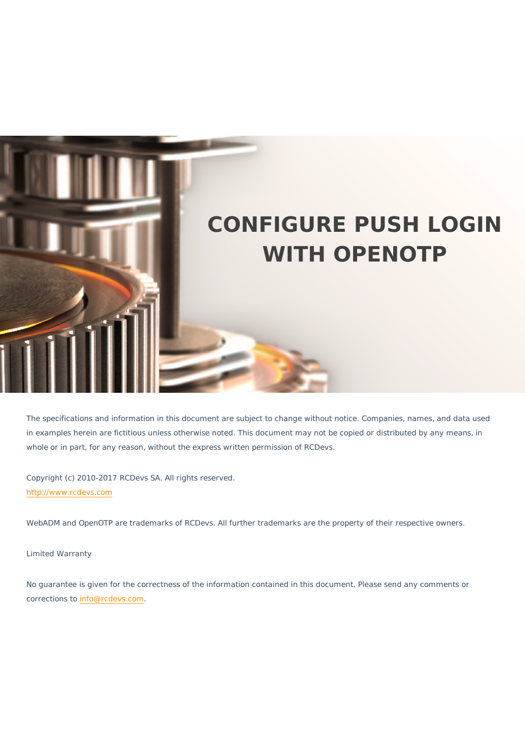

The specifications and information in this document are subject to change without notice. Companies, names, and data used in examples herein are fictitious unless otherwise noted. This document may not be copied or distributed by any means, in whole or in part, for any reason, without the express written permission of RCDevs.

Copyright (c) 2010-2017 RCDevs SA. All rights reserved. [http://www.rcdevs.com](http://www.rcdevs.com/)

WebADM and OpenOTP are trademarks of RCDevs. All further trademarks are the property of their respective owners.

Limited Warranty

No guarantee is given for the correctness of the information contained in this document. Please send any comments or corrections to [info@rcdevs.com](mailto:info@rcdevs.com).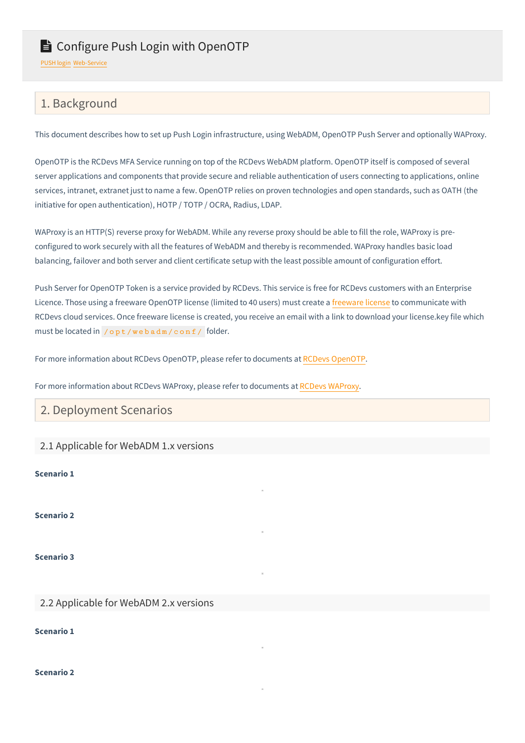# E Configure Push Login with OpenOTP

[PUSH](https://docs.rcdevs.com/tags/push-login) login [Web-Service](https://docs.rcdevs.com/tags/web-service)

# 1. Background

This document describes how to set up Push Login infrastructure, using WebADM, OpenOTP Push Server and optionally WAProxy.

OpenOTP is the RCDevs MFA Service running on top of the RCDevs WebADM platform. OpenOTP itself is composed of several server applications and components that provide secure and reliable authentication of users connecting to applications, online services, intranet, extranet just to name a few. OpenOTP relies on proven technologies and open standards, such as OATH (the initiative for open authentication), HOTP / TOTP / OCRA, Radius, LDAP.

WAProxy is an HTTP(S) reverse proxy for WebADM. While any reverse proxy should be able to fill the role, WAProxy is preconfigured to work securely with all the features of WebADM and thereby is recommended. WAProxy handles basic load balancing, failover and both server and client certificate setup with the least possible amount of configuration effort.

Push Server for OpenOTP Token is a service provided by RCDevs. This service is free for RCDevs customers with an Enterprise Licence. Those using a freeware OpenOTP license (limited to 40 users) must create a [freeware](https://cloud.rcdevs.com/freeware-license/) license to communicate with RCDevs cloud services. Once freeware license is created, you receive an email with a link to download your license.key file which must be located in /opt/webadm/conf/ folder.

For more information about RCDevs OpenOTP, please refer to documents at RCDevs [OpenOTP](https://www.rcdevs.com/products/openotp/).

For more information about RCDevs WAProxy, please refer to documents at RCDevs [WAProxy.](https://docs.rcdevs.com/howtos/waproxy/waproxy/)

## 2. Deployment Scenarios

#### 2.1 Applicable for WebADM 1.x versions

**Scenario 1**

**Scenario 2**

**Scenario 3**

### 2.2 Applicable for WebADM 2.x versions

**Scenario 1**

**Scenario 2**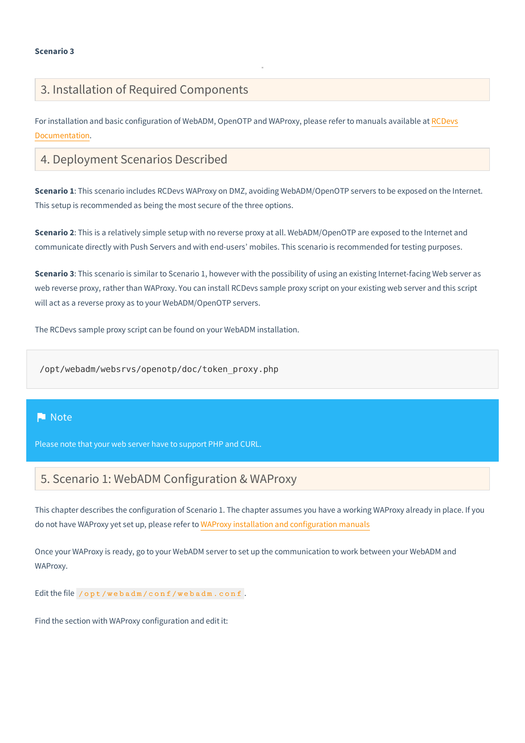# 3. Installation of Required Components

For installation and basic configuration of WebADM, OpenOTP and WAProxy, please refer to manuals available at RCDevs [Documentation.](https://docs.rcdevs.com/)

# 4. Deployment Scenarios Described

**Scenario 1**: This scenario includes RCDevs WAProxy on DMZ, avoiding WebADM/OpenOTP servers to be exposed on the Internet. This setup is recommended as being the most secure of the three options.

**Scenario 2**: This is a relatively simple setup with no reverse proxy at all. WebADM/OpenOTP are exposed to the Internet and communicate directly with Push Servers and with end-users' mobiles. This scenario is recommended for testing purposes.

**Scenario 3**: This scenario is similar to Scenario 1, however with the possibility of using an existing Internet-facing Web server as web reverse proxy, rather than WAProxy. You can install RCDevs sample proxy script on your existing web server and this script will act as a reverse proxy as to your WebADM/OpenOTP servers.

The RCDevs sample proxy script can be found on your WebADM installation.

/opt/webadm/websrvs/openotp/doc/token\_proxy.php

### **Note**

Please note that your web server have to support PHP and CURL.

# 5. Scenario 1: WebADM Configuration & WAProxy

This chapter describes the configuration of Scenario 1. The chapter assumes you have a working WAProxy already in place. If you do not have WAProxy yet set up, please refer to WAProxy installation and [configuration](file:///var/lib/jenkins/jobs/docsite_prod/workspace/public/howtos/waproxy/waproxy/) manuals

Once your WAProxy is ready, go to your WebADM server to set up the communication to work between your WebADM and WAProxy.

Edit the file /opt/webadm/conf/webadm.conf.

Find the section with WAProxy configuration and edit it: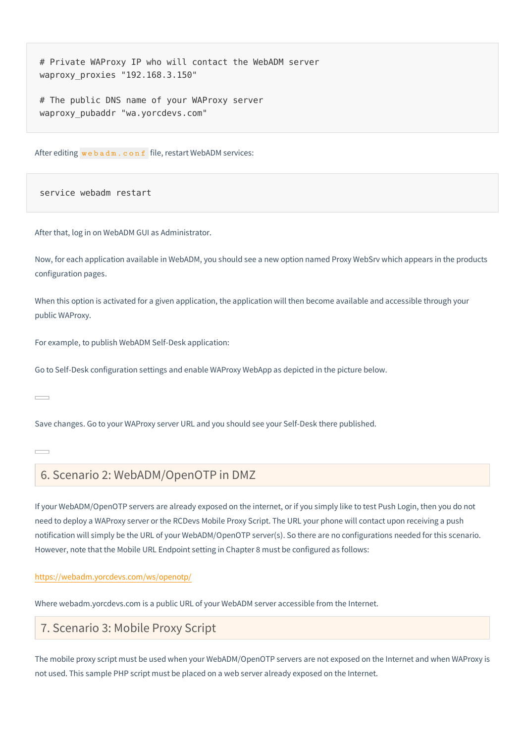waproxy\_proxies "192.168.3.150" # Private WAProxy IP who will contact the WebADM server

waproxy\_pubaddr "wa.yorcdevs.com" # The public DNS name of your WAProxy server

After editing webadm.conf file, restart WebADM services:

service webadm restart

After that, log in on WebADM GUI as Administrator.

Now, for each application available in WebADM, you should see a new option named Proxy WebSrv which appears in the products configuration pages.

When this option is activated for a given application, the application will then become available and accessible through your public WAProxy.

For example, to publish WebADM Self-Desk application:

Go to Self-Desk configuration settings and enable WAProxy WebApp as depicted in the picture below.

 $\overline{\phantom{a}}$ 

Save changes. Go to your WAProxy server URL and you should see your Self-Desk there published.

 $\overline{\phantom{0}}$ 

## 6. Scenario 2: WebADM/OpenOTP in DMZ

If your WebADM/OpenOTP servers are already exposed on the internet, or if you simply like to test Push Login, then you do not need to deploy a WAProxy server or the RCDevs Mobile Proxy Script. The URL your phone will contact upon receiving a push notification will simply be the URL of your WebADM/OpenOTP server(s). So there are no configurations needed for this scenario. However, note that the Mobile URL Endpoint setting in Chapter 8 must be configured as follows:

#### <https://webadm.yorcdevs.com/ws/openotp/>

Where webadm.yorcdevs.com is a public URL of your WebADM server accessible from the Internet.

## 7. Scenario 3: Mobile Proxy Script

The mobile proxy script must be used when your WebADM/OpenOTP servers are not exposed on the Internet and when WAProxy is not used. This sample PHP script must be placed on a web server already exposed on the Internet.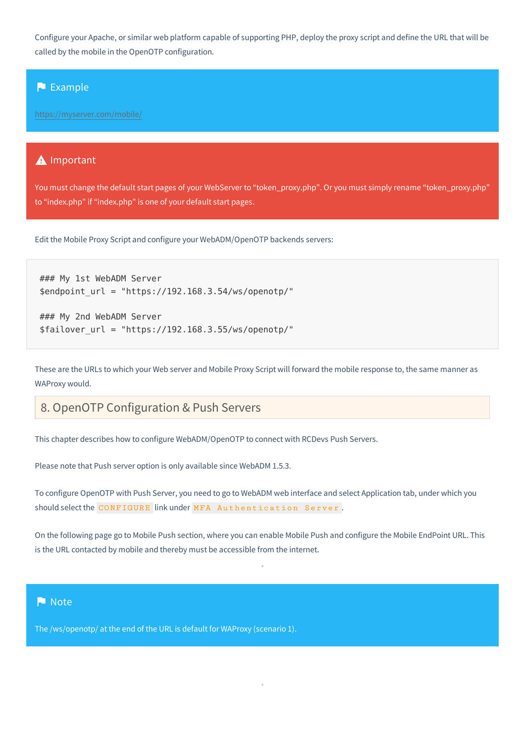Configure your Apache, or similar web platform capable of supporting PHP, deploy the proxy script and define the URL that will be called by the mobile in the OpenOTP configuration.

### **Example**

<https://myserver.com/mobile/>

### **A** Important

You must change the default start pages of your WebServer to "token\_proxy.php". Or you must simply rename "token\_proxy.php" to "index.php" if "index.php" is one of your default start pages.

Edit the Mobile Proxy Script and configure your WebADM/OpenOTP backends servers:

```
### My 1st WebADM Server
$endpoint_url = "https://192.168.3.54/ws/openotp/"
```

```
### My 2nd WebADM Server
$failover url = "https://192.168.3.55/ws/openotp/"
```
These are the URLs to which your Web server and Mobile Proxy Script will forward the mobile response to, the same manner as WAProxy would.

# 8. OpenOTP Configuration & Push Servers

This chapter describes how to configure WebADM/OpenOTP to connect with RCDevs Push Servers.

Please note that Push server option is only available since WebADM 1.5.3.

To configure OpenOTP with Push Server, you need to go to WebADM web interface and select Application tab, under which you should select the CONFIGURE link under MFA Authentication Server .

On the following page go to Mobile Push section, where you can enable Mobile Push and configure the Mobile EndPoint URL. This is the URL contacted by mobile and thereby must be accessible from the internet.

### **Note**

The /ws/openotp/ at the end of the URL is default for WAProxy (scenario 1).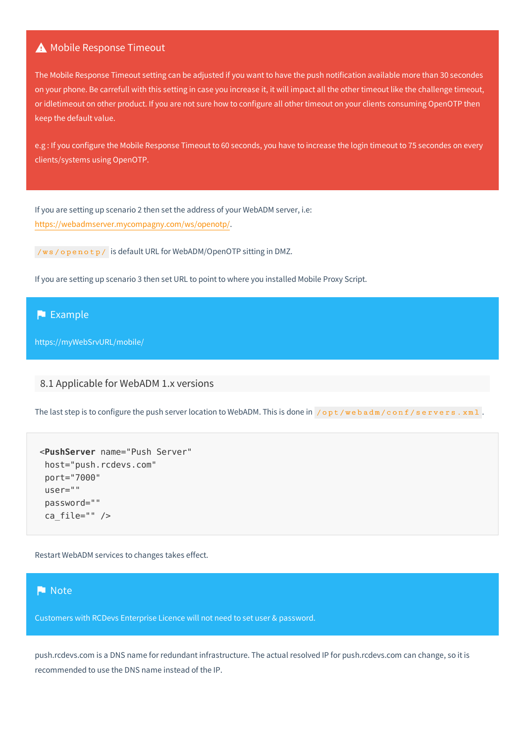### A Mobile Response Timeout

The Mobile Response Timeout setting can be adjusted if you want to have the push notification available more than 30 secondes on your phone. Be carrefull with this setting in case you increase it, it will impact all the other timeout like the challenge timeout, or idletimeout on other product. If you are not sure how to configure all other timeout on your clients consuming OpenOTP then keep the default value.

e.g : If you configure the Mobile Response Timeout to 60 seconds, you have to increase the login timeout to 75 secondes on every clients/systems using OpenOTP.

If you are setting up scenario 2 then set the address of your WebADM server, i.e: <https://webadmserver.mycompagny.com/ws/openotp/>.

/ws/openotp/ is default URL for WebADM/OpenOTP sitting in DMZ.

If you are setting up scenario 3 then set URL to point to where you installed Mobile Proxy Script.

### **Example**

https://myWebSrvURL/mobile/

### 8.1 Applicable for WebADM 1.x versions

The last step is to configure the push server location to WebADM. This is done in /opt/webadm/conf/servers.xml.

```
<PushServer name="Push Server"
host="push.rcdevs.com"
port="7000"
user=""
password=""
 ca_file="" />
```
Restart WebADM services to changes takes effect.

### Note

Customers with RCDevs Enterprise Licence will not need to set user & password.

push.rcdevs.com is a DNS name for redundant infrastructure. The actual resolved IP for push.rcdevs.com can change, so it is recommended to use the DNS name instead of the IP.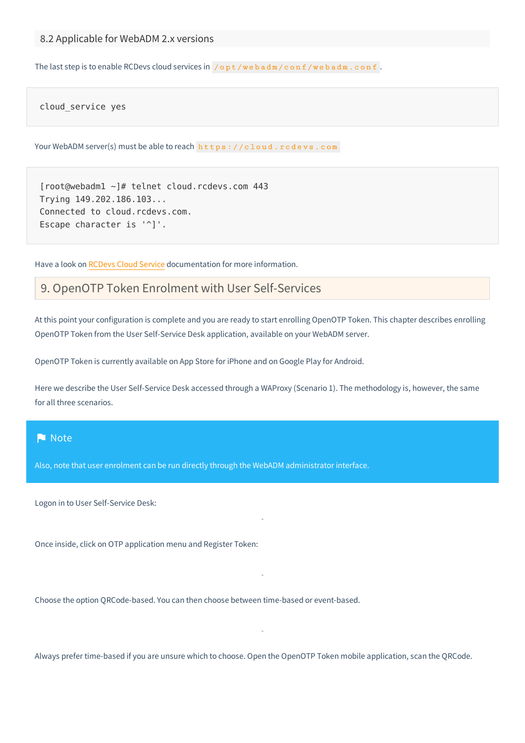The last step is to enable RCDevs cloud services in  $\sqrt{\frac{opt}{w}}$  badm/conf/webadm.conf.

cloud\_service yes

Your WebADM server(s) must be able to reach https://cloud.rcdevs.com

[root@webadm1 ~]# telnet cloud.rcdevs.com 443 Trying 149.202.186.103... Connected to cloud.rcdevs.com. Escape character is  $'$ ]'.

Have a look on [RCDevs](file:///var/lib/jenkins/jobs/docsite_prod/workspace/public/howtos/cloud_services/rcdevs_cloud_services/) Cloud Service documentation for more information.

# 9. OpenOTP Token Enrolment with User Self-Services

At this point your configuration is complete and you are ready to start enrolling OpenOTP Token. This chapter describes enrolling OpenOTP Token from the User Self-Service Desk application, available on your WebADM server.

OpenOTP Token is currently available on App Store for iPhone and on Google Play for Android.

Here we describe the User Self-Service Desk accessed through a WAProxy (Scenario 1). The methodology is, however, the same for all three scenarios.

#### **Note**

Also, note that user enrolment can be run directly through the WebADM administrator interface.

Logon in to User Self-Service Desk:

Once inside, click on OTP application menu and Register Token:

Choose the option QRCode-based. You can then choose between time-based or event-based.

Always prefer time-based if you are unsure which to choose. Open the OpenOTP Token mobile application, scan the QRCode.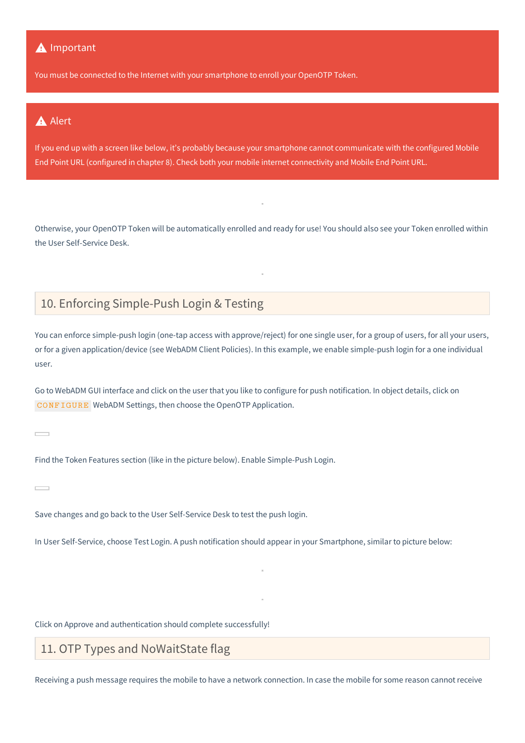### **A** Important

You must be connected to the Internet with your smartphone to enroll your OpenOTP Token.

## **A** Alert

If you end up with a screen like below, it's probably because your smartphone cannot communicate with the configured Mobile End Point URL (configured in chapter 8). Check both your mobile internet connectivity and Mobile End Point URL.

Otherwise, your OpenOTP Token will be automatically enrolled and ready for use! You should also see your Token enrolled within the User Self-Service Desk.

# 10. Enforcing Simple-Push Login & Testing

You can enforce simple-push login (one-tap access with approve/reject) for one single user, for a group of users, for all your users, or for a given application/device (see WebADM Client Policies). In this example, we enable simple-push login for a one individual user.

Go to WebADM GUI interface and click on the user that you like to configure for push notification. In object details, click on CONFIGURE WebADM Settings, then choose the OpenOTP Application.

 $\overline{\phantom{a}}$ 

Find the Token Features section (like in the picture below). Enable Simple-Push Login.

Save changes and go back to the User Self-Service Desk to test the push login.

In User Self-Service, choose Test Login. A push notification should appear in your Smartphone, similar to picture below:

Click on Approve and authentication should complete successfully!

# 11. OTP Types and NoWaitState flag

Receiving a push message requires the mobile to have a network connection. In case the mobile for some reason cannot receive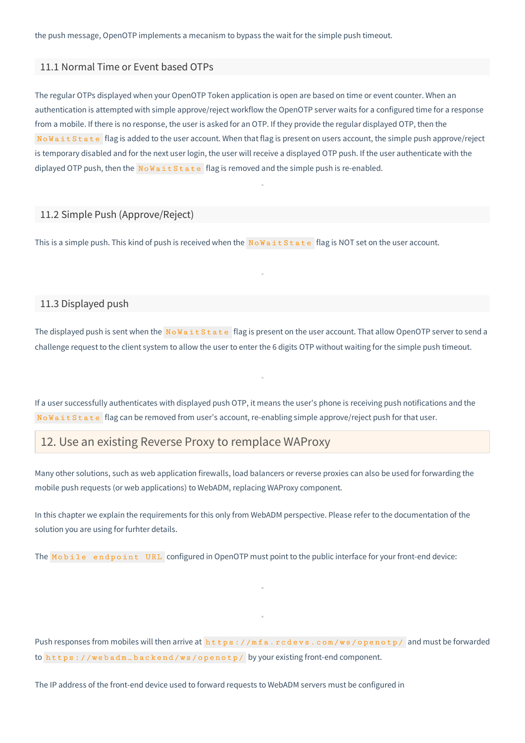the push message, OpenOTP implements a mecanism to bypass the wait for the simple push timeout.

#### 11.1 Normal Time or Event based OTPs

The regular OTPs displayed when your OpenOTP Token application is open are based on time or event counter. When an authentication is attempted with simple approve/reject workflow the OpenOTP server waits for a configured time for a response from a mobile. If there is no response, the user is asked for an OTP. If they provide the regular displayed OTP, then the NoWaitState flag is added to the user account. When that flag is present on users account, the simple push approve/reject is temporary disabled and for the next user login, the user will receive a displayed OTP push. If the user authenticate with the diplayed OTP push, then the  $N \circ W$  a it S t a t e flag is removed and the simple push is re-enabled.

### 11.2 Simple Push (Approve/Reject)

This is a simple push. This kind of push is received when the NoWaitState flag is NOT set on the user account.

#### 11.3 Displayed push

The displayed push is sent when the  $N \circ W$ aitState flag is present on the user account. That allow OpenOTP server to send a challenge request to the client system to allow the user to enter the 6 digits OTP without waiting for the simple push timeout.

If a user successfully authenticates with displayed push OTP, it means the user's phone is receiving push notifications and the NoWaitState flag can be removed from user's account, re-enabling simple approve/reject push for that user.

## 12. Use an existing Reverse Proxy to remplace WAProxy

Many other solutions, such as web application firewalls, load balancers or reverse proxies can also be used for forwarding the mobile push requests (or web applications) to WebADM, replacing WAProxy component.

In this chapter we explain the requirements for this only from WebADM perspective. Please refer to the documentation of the solution you are using for furhter details.

The Mobile endpoint URL configured in OpenOTP must point to the public interface for your front-end device:

Push responses from mobiles will then arrive at https://mfa.rcdevs.com/ws/openotp/ and must be forwarded to https://webadm\_backend/ws/openotp/ by your existing front-end component.

The IP address of the front-end device used to forward requests to WebADM servers must be configured in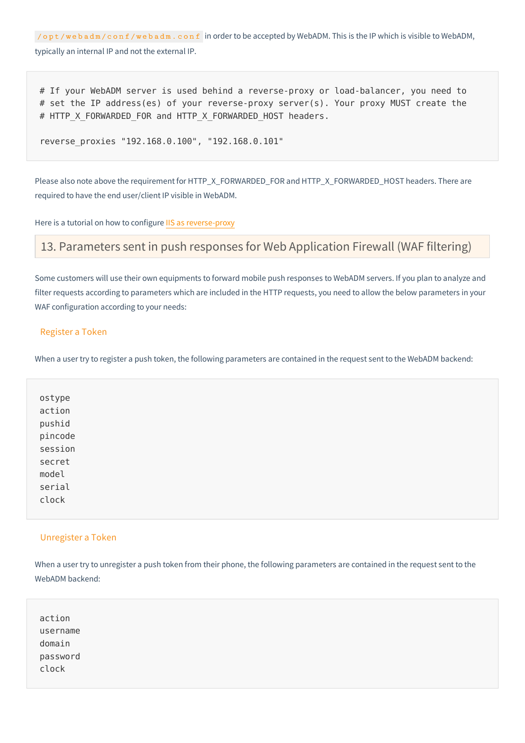/opt/webadm/conf/webadm.conf in order to be accepted by WebADM. This is the IP which is visible to WebADM, typically an internal IP and not the external IP.

# If your WebADM server is used behind a reverse-proxy or load-balancer, you need to # set the IP address(es) of your reverse-proxy server(s). Your proxy MUST create the # HTTP X FORWARDED FOR and HTTP X FORWARDED HOST headers.

reverse\_proxies , "192.168.0.100" "192.168.0.101"

Please also note above the requirement for HTTP\_X\_FORWARDED\_FOR and HTTP\_X\_FORWARDED\_HOST headers. There are required to have the end user/client IP visible in WebADM.

Here is a tutorial on how to configure IIS as [reverse-proxy](https://docs.microfocus.com/OMi/10.62/Content/OMi/AdminGuide/Hardening/RevProxy_IIS.htm)

## 13. Parameters sent in push responses for Web Application Firewall (WAF filtering)

Some customers will use their own equipments to forward mobile push responses to WebADM servers. If you plan to analyze and filter requests according to parameters which are included in the HTTP requests, you need to allow the below parameters in your WAF configuration according to your needs:

#### Register a Token

When a user try to register a push token, the following parameters are contained in the request sent to the WebADM backend:

| ostype  |  |  |  |
|---------|--|--|--|
| action  |  |  |  |
| pushid  |  |  |  |
| pincode |  |  |  |
| session |  |  |  |
| secret  |  |  |  |
| model   |  |  |  |
| serial  |  |  |  |
| clock   |  |  |  |
|         |  |  |  |

#### Unregister a Token

When a user try to unregister a push token from their phone, the following parameters are contained in the request sent to the WebADM backend:

| action            |  |  |  |
|-------------------|--|--|--|
| username          |  |  |  |
| domain            |  |  |  |
| password<br>clock |  |  |  |
|                   |  |  |  |
|                   |  |  |  |
|                   |  |  |  |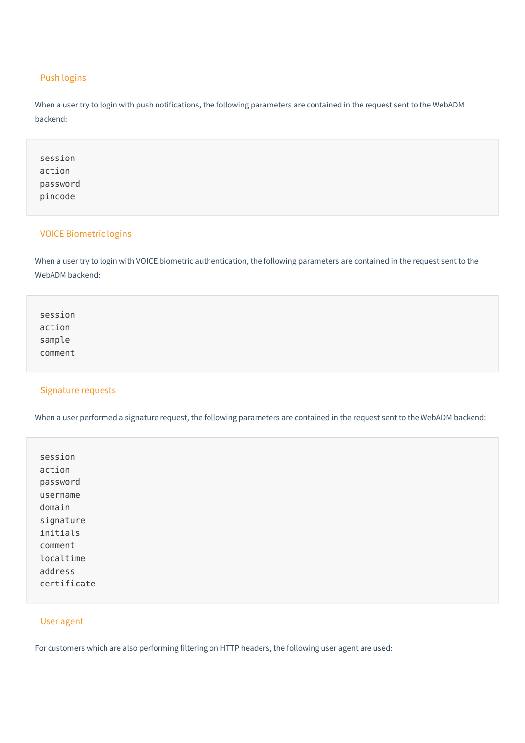### Push logins

When a user try to login with push notifications, the following parameters are contained in the request sent to the WebADM backend:

| session<br>action |  |  |  |
|-------------------|--|--|--|
| password          |  |  |  |
| pincode           |  |  |  |

### VOICE Biometric logins

When a user try to login with VOICE biometric authentication, the following parameters are contained in the request sent to the WebADM backend:

session action sample comment

### Signature requests

When a user performed a signature request, the following parameters are contained in the request sent to the WebADM backend:

session action password username domain signature initials comment localtime address certificate

#### User agent

For customers which are also performing filtering on HTTP headers, the following user agent are used: